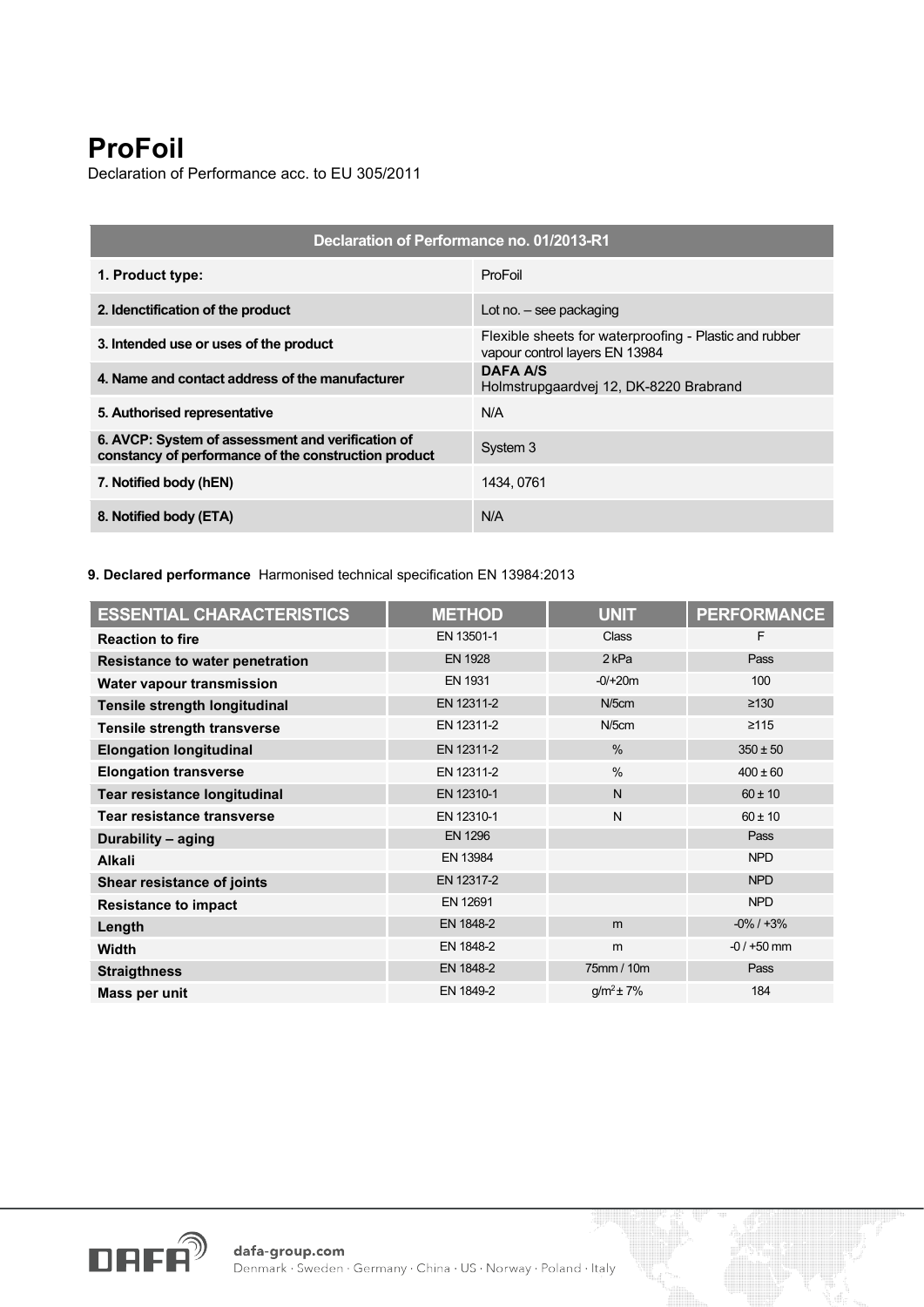## **ProFoil**

Declaration of Performance acc. to EU 305/2011

| Declaration of Performance no. 01/2013-R1                                                                 |                                                                                          |  |  |
|-----------------------------------------------------------------------------------------------------------|------------------------------------------------------------------------------------------|--|--|
| 1. Product type:                                                                                          | ProFoil                                                                                  |  |  |
| 2. Idenctification of the product                                                                         | Lot no. $-$ see packaging                                                                |  |  |
| 3. Intended use or uses of the product                                                                    | Flexible sheets for waterproofing - Plastic and rubber<br>vapour control layers EN 13984 |  |  |
| 4. Name and contact address of the manufacturer                                                           | <b>DAFA A/S</b><br>Holmstrupgaardvej 12, DK-8220 Brabrand                                |  |  |
| 5. Authorised representative                                                                              | N/A                                                                                      |  |  |
| 6. AVCP: System of assessment and verification of<br>constancy of performance of the construction product | System 3                                                                                 |  |  |
| 7. Notified body (hEN)                                                                                    | 1434.0761                                                                                |  |  |
| 8. Notified body (ETA)                                                                                    | N/A                                                                                      |  |  |

**9. Declared performance** Harmonised technical specification EN 13984:2013

| <b>ESSENTIAL CHARACTERISTICS</b>       | <b>METHOD</b>  | <b>UNIT</b>      | <b>PERFORMANCE</b> |
|----------------------------------------|----------------|------------------|--------------------|
| <b>Reaction to fire</b>                | EN 13501-1     | Class            | F                  |
| <b>Resistance to water penetration</b> | <b>EN 1928</b> | 2 <sub>kPa</sub> | Pass               |
| Water vapour transmission              | <b>EN 1931</b> | $-0/+20m$        | 100                |
| Tensile strength longitudinal          | EN 12311-2     | $N/5$ cm         | $\geq 130$         |
| Tensile strength transverse            | EN 12311-2     | $N/5$ cm         | $\geq 115$         |
| <b>Elongation longitudinal</b>         | EN 12311-2     | $\%$             | $350 \pm 50$       |
| <b>Elongation transverse</b>           | EN 12311-2     | $\frac{0}{0}$    | $400 \pm 60$       |
| <b>Tear resistance longitudinal</b>    | EN 12310-1     | $\mathsf{N}$     | $60 \pm 10$        |
| Tear resistance transverse             | EN 12310-1     | N                | $60 \pm 10$        |
| Durability - aging                     | <b>EN 1296</b> |                  | Pass               |
| <b>Alkali</b>                          | EN 13984       |                  | <b>NPD</b>         |
| Shear resistance of joints             | EN 12317-2     |                  | <b>NPD</b>         |
| <b>Resistance to impact</b>            | EN 12691       |                  | <b>NPD</b>         |
| Length                                 | EN 1848-2      | m                | $-0\%$ / $+3\%$    |
| Width                                  | EN 1848-2      | m                | $-0/ +50$ mm       |
| <b>Straigthness</b>                    | EN 1848-2      | 75mm / 10m       | Pass               |
| Mass per unit                          | EN 1849-2      | $q/m^2 \pm 7\%$  | 184                |